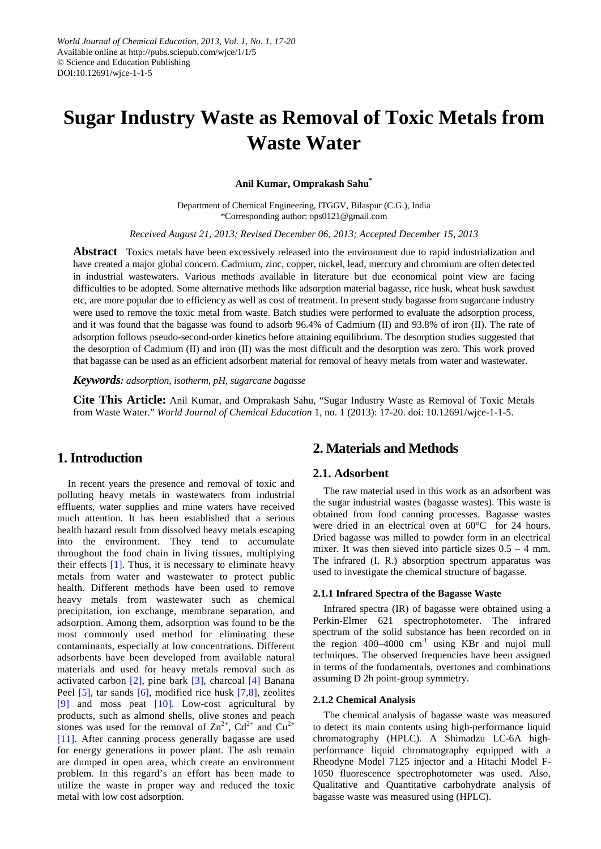# **Sugar Industry Waste as Removal of Toxic Metals from Waste Water**

### **Anil Kumar, Omprakash Sahu\***

Department of Chemical Engineering, ITGGV, Bilaspur (C.G.), India \*Corresponding author: ops0121@gmail.com

*Received August 21, 2013; Revised December 06, 2013; Accepted December 15, 2013*

**Abstract** Toxics metals have been excessively released into the environment due to rapid industrialization and have created a major global concern. Cadmium, zinc, copper, nickel, lead, mercury and chromium are often detected in industrial wastewaters. Various methods available in literature but due economical point view are facing difficulties to be adopted. Some alternative methods like adsorption material bagasse, rice husk, wheat husk sawdust etc, are more popular due to efficiency as well as cost of treatment. In present study bagasse from sugarcane industry were used to remove the toxic metal from waste. Batch studies were performed to evaluate the adsorption process, and it was found that the bagasse was found to adsorb 96.4% of Cadmium (II) and 93.8% of iron (II). The rate of adsorption follows pseudo-second-order kinetics before attaining equilibrium. The desorption studies suggested that the desorption of Cadmium (II) and iron (II) was the most difficult and the desorption was zero. This work proved that bagasse can be used as an efficient adsorbent material for removal of heavy metals from water and wastewater.

*Keywords: adsorption, isotherm, pH, sugarcane bagasse*

**Cite This Article:** Anil Kumar, and Omprakash Sahu, "Sugar Industry Waste as Removal of Toxic Metals from Waste Water." *World Journal of Chemical Education* 1, no. 1 (2013): 17-20. doi: 10.12691/wjce-1-1-5.

# **1. Introduction**

In recent years the presence and removal of toxic and polluting heavy metals in wastewaters from industrial effluents, water supplies and mine waters have received much attention. It has been established that a serious health hazard result from dissolved heavy metals escaping into the environment. They tend to accumulate throughout the food chain in living tissues, multiplying their effects  $[1]$ . Thus, it is necessary to eliminate heavy metals from water and wastewater to protect public health. Different methods have been used to remove heavy metals from wastewater such as chemical precipitation, ion exchange, membrane separation, and adsorption. Among them, adsorption was found to be the most commonly used method for eliminating these contaminants, especially at low concentrations. Different adsorbents have been developed from available natural materials and used for heavy metals removal such as activated carbon [\[2\],](#page-2-1) pine bark [\[3\],](#page-2-2) charcoal [\[4\]](#page-2-3) Banana Peel [\[5\],](#page-2-4) tar sands [\[6\],](#page-2-5) modified rice husk [\[7,8\],](#page-2-6) zeolites [\[9\]](#page-3-0) and moss peat [\[10\].](#page-3-1) Low-cost agricultural by products, such as almond shells, olive stones and peach stones was used for the removal of  $\text{Zn}^{2+}$ ,  $\text{Cd}^{2+}$  and  $\text{Cu}^{2+}$ [\[11\].](#page-3-2) After canning process generally bagasse are used for energy generations in power plant. The ash remain are dumped in open area, which create an environment problem. In this regard's an effort has been made to utilize the waste in proper way and reduced the toxic metal with low cost adsorption.

# **2. Materials and Methods**

# **2.1. Adsorbent**

The raw material used in this work as an adsorbent was the sugar industrial wastes (bagasse wastes). This waste is obtained from food canning processes. Bagasse wastes were dried in an electrical oven at 60°C for 24 hours. Dried bagasse was milled to powder form in an electrical mixer. It was then sieved into particle sizes  $0.5 - 4$  mm. The infrared (I. R.) absorption spectrum apparatus was used to investigate the chemical structure of bagasse.

#### **2.1.1 Infrared Spectra of the Bagasse Waste**

Infrared spectra (IR) of bagasse were obtained using a Perkin-Elmer 621 spectrophotometer. The infrared spectrum of the solid substance has been recorded on in the region  $400-4000$  cm<sup>-1</sup> using KBr and nujol mull techniques. The observed frequencies have been assigned in terms of the fundamentals, overtones and combinations assuming D 2h point-group symmetry.

# **2.1.2 Chemical Analysis**

The chemical analysis of bagasse waste was measured to detect its main contents using high-performance liquid chromatography (HPLC). A Shimadzu LC-6A highperformance liquid chromatography equipped with a Rheodyne Model 7125 injector and a Hitachi Model F-1050 fluorescence spectrophotometer was used. Also, Qualitative and Quantitative carbohydrate analysis of bagasse waste was measured using (HPLC).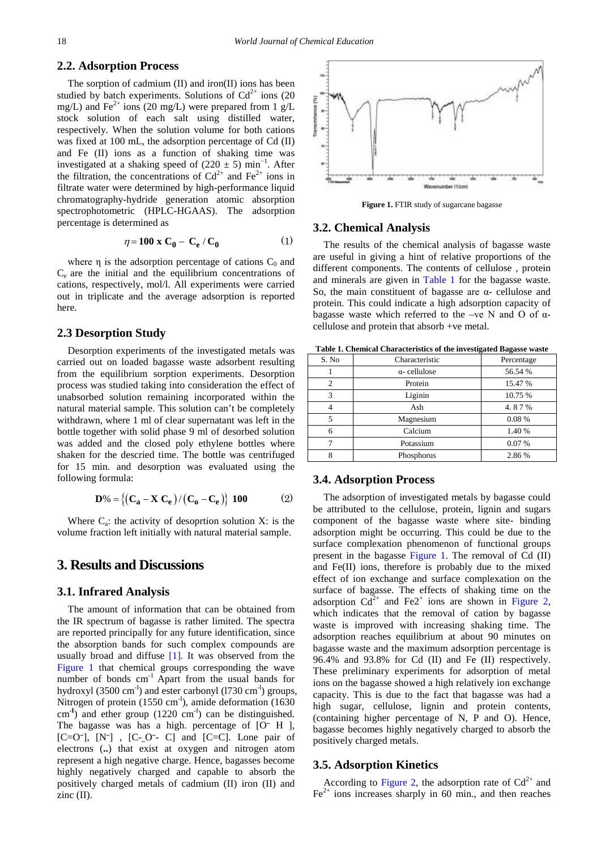## **2.2. Adsorption Process**

The sorption of cadmium (II) and iron(II) ions has been studied by batch experiments. Solutions of  $Cd^{2+}$  ions (20 mg/L) and Fe<sup>2+</sup> ions (20 mg/L) were prepared from 1 g/L stock solution of each salt using distilled water, respectively. When the solution volume for both cations was fixed at 100 mL, the adsorption percentage of Cd (II) and Fe (II) ions as a function of shaking time was investigated at a shaking speed of  $(220 \pm 5)$  min<sup>-1</sup>. After the filtration, the concentrations of  $Cd^{2+}$  and  $Fe^{2+}$  ions in filtrate water were determined by high-performance liquid chromatography-hydride generation atomic absorption spectrophotometric (HPLC-HGAAS). The adsorption percentage is determined as

$$
\eta = 100 \times C_0 - C_e / C_0 \tag{1}
$$

where  $\eta$  is the adsorption percentage of cations  $C_0$  and Ce are the initial and the equilibrium concentrations of cations, respectively, mol/l. All experiments were carried out in triplicate and the average adsorption is reported here.

#### **2.3 Desorption Study**

Desorption experiments of the investigated metals was carried out on loaded bagasse waste adsorbent resulting from the equilibrium sorption experiments. Desorption process was studied taking into consideration the effect of unabsorbed solution remaining incorporated within the natural material sample. This solution can't be completely withdrawn, where 1 ml of clear supernatant was left in the bottle together with solid phase 9 ml of desorbed solution was added and the closed poly ethylene bottles where shaken for the descried time. The bottle was centrifuged for 15 min. and desorption was evaluated using the following formula:

$$
D\% = \{ (C_a - X C_e) / (C_o - C_e) \} \text{ 100 } (2)
$$

Where  $C_a$ : the activity of desoprtion solution X: is the volume fraction left initially with natural material sample.

# **3. Results and Discussions**

#### **3.1. Infrared Analysis**

The amount of information that can be obtained from the IR spectrum of bagasse is rather limited. The spectra are reported principally for any future identification, since the absorption bands for such complex compounds are usually broad and diffuse  $[1]$ . It was observed from the [Figure 1](#page-1-0) that chemical groups corresponding the wave number of bonds  $cm^{-1}$  Apart from the usual bands for hydroxyl (3500 cm $^{-1}$ ) and ester carbonyl (1730 cm $^{-1}$ ) groups, Nitrogen of protein (1550 cm<sup>-I</sup>), amide deformation (1630 cm<sup>-I</sup>) and ether group (1220 cm<sup>-I</sup>) can be distinguished. The bagasse was has a high. percentage of [O<sup>..</sup> H ], [C=O<sup>-</sup>], [N<sup>-</sup>], [C-<sub>--</sub>O<sup>-</sup>- C] and [C=C]. Lone pair of electrons (**..**) that exist at oxygen and nitrogen atom represent a high negative charge. Hence, bagasses become highly negatively charged and capable to absorb the positively charged metals of cadmium (II) iron (II) and zinc (II).

<span id="page-1-0"></span>

**Figure 1.** FTIR study of sugarcane bagasse

#### **3.2. Chemical Analysis**

The results of the chemical analysis of bagasse waste are useful in giving a hint of relative proportions of the different components. The contents of cellulose , protein and minerals are given in [Table 1](#page-1-1) for the bagasse waste. So, the main constituent of bagasse are α- cellulose and protein. This could indicate a high adsorption capacity of bagasse waste which referred to the –ve N and O of αcellulose and protein that absorb +ve metal.

<span id="page-1-1"></span>**Table 1. Chemical Characteristics of the investigated Bagasse waste**

| S. No | Characteristic      | Percentage |
|-------|---------------------|------------|
|       | $\alpha$ -cellulose | 56.54 %    |
| 2     | Protein             | 15.47 %    |
| 3     | Liginin             | 10.75 %    |
| 4     | Ash                 | 4.87%      |
| 5     | Magnesium           | 0.08%      |
| 6     | Calcium             | 1.40 %     |
|       | Potassium           | 0.07%      |
| 8     | Phosphorus          | 2.86%      |

#### **3.4. Adsorption Process**

The adsorption of investigated metals by bagasse could be attributed to the cellulose, protein, lignin and sugars component of the bagasse waste where site- binding adsorption might be occurring. This could be due to the surface complexation phenomenon of functional groups present in the bagasse [Figure 1.](#page-1-0) The removal of Cd (II) and Fe(II) ions, therefore is probably due to the mixed effect of ion exchange and surface complexation on the surface of bagasse. The effects of shaking time on the adsorption  $Cd^{2+}$  and Fe2<sup>+</sup> ions are shown in [Figure 2,](#page-2-7) which indicates that the removal of cation by bagasse waste is improved with increasing shaking time. The adsorption reaches equilibrium at about 90 minutes on bagasse waste and the maximum adsorption percentage is 96.4% and 93.8% for Cd (II) and Fe (II) respectively. These preliminary experiments for adsorption of metal ions on the bagasse showed a high relatively ion exchange capacity. This is due to the fact that bagasse was had a high sugar, cellulose, lignin and protein contents, (containing higher percentage of N, P and O). Hence, bagasse becomes highly negatively charged to absorb the positively charged metals.

#### **3.5. Adsorption Kinetics**

According to [Figure 2,](#page-2-7) the adsorption rate of  $Cd^{2+}$  and  $Fe<sup>2+</sup>$  ions increases sharply in 60 min., and then reaches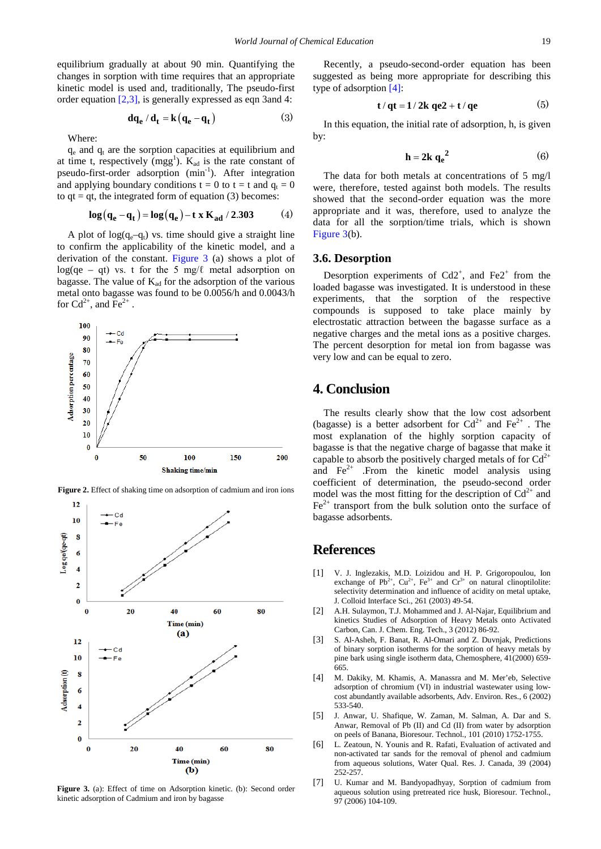equilibrium gradually at about 90 min. Quantifying the changes in sorption with time requires that an appropriate kinetic model is used and, traditionally, The pseudo-first order equation [\[2,3\],](#page-2-1) is generally expressed as eqn 3and 4:

$$
\mathbf{d}\mathbf{q}_{\mathbf{e}}/\mathbf{d}_{\mathbf{t}} = \mathbf{k}\big(\mathbf{q}_{\mathbf{e}} - \mathbf{q}_{\mathbf{t}}\big) \tag{3}
$$

Where:

 $q_e$  and  $q_t$  are the sorption capacities at equilibrium and at time t, respectively  $(mgg<sup>1</sup>)$ .  $K_{ad}$  is the rate constant of pseudo-first-order adsorption (min<sup>-1</sup>). After integration and applying boundary conditions  $t = 0$  to  $t = t$  and  $q_t = 0$ to  $qt = qt$ , the integrated form of equation (3) becomes:

$$
\log(q_e - q_t) = \log(q_e) - t \times K_{ad} / 2.303
$$
 (4)

A plot of  $log(q_e-q_t)$  vs. time should give a straight line to confirm the applicability of the kinetic model, and a derivation of the constant. [Figure 3](#page-2-8) (a) shows a plot of log(qe – qt) vs. t for the 5 mg/ $\ell$  metal adsorption on bagasse. The value of  $K_{ad}$  for the adsorption of the various metal onto bagasse was found to be 0.0056/h and 0.0043/h for  $Cd^{2+}$ , and  $Fe^{2+}$ .

<span id="page-2-7"></span>

**Figure 2.** Effect of shaking time on adsorption of cadmium and iron ions

<span id="page-2-8"></span>

Figure 3. (a): Effect of time on Adsorption kinetic. (b): Second order kinetic adsorption of Cadmium and iron by bagasse

Recently, a pseudo-second-order equation has been suggested as being more appropriate for describing this type of adsorption [\[4\]:](#page-2-3)

$$
t/qt = 1/2k qe2 + t/qe
$$
 (5)

In this equation, the initial rate of adsorption, h, is given by:

$$
\mathbf{h} = 2\mathbf{k} \, \mathbf{q_e}^2 \tag{6}
$$

The data for both metals at concentrations of 5 mg/l were, therefore, tested against both models. The results showed that the second-order equation was the more appropriate and it was, therefore, used to analyze the data for all the sorption/time trials, which is shown [Figure 3\(](#page-2-8)b).

# **3.6. Desorption**

Desorption experiments of  $Cd2^+$ , and  $Fe2^+$  from the loaded bagasse was investigated. It is understood in these experiments, that the sorption of the respective compounds is supposed to take place mainly by electrostatic attraction between the bagasse surface as a negative charges and the metal ions as a positive charges. The percent desorption for metal ion from bagasse was very low and can be equal to zero.

# **4. Conclusion**

The results clearly show that the low cost adsorbent (bagasse) is a better adsorbent for  $Cd^{2+}$  and  $Fe^{2+}$ . The most explanation of the highly sorption capacity of bagasse is that the negative charge of bagasse that make it capable to absorb the positively charged metals of for  $Cd^{2+}$ and  $\text{Fe}^{2+}$  .From the kinetic model analysis using coefficient of determination, the pseudo-second order model was the most fitting for the description of  $Cd^{2+}$  and  $Fe<sup>2+</sup>$  transport from the bulk solution onto the surface of bagasse adsorbents.

# **References**

- <span id="page-2-0"></span>[1] V. J. Inglezakis, M.D. Loizidou and H. P. Grigoropoulou, Ion exchange of Pb<sup>2+</sup>, Cu<sup>2+</sup>, Fe<sup>3+</sup> and Cr<sup>3+</sup> on natural clinoptilolite: selectivity determination and influence of acidity on metal uptake, J. Colloid Interface Sci., 261 (2003) 49-54.
- <span id="page-2-1"></span>[2] A.H. Sulaymon, T.J. Mohammed and J. Al-Najar, Equilibrium and kinetics Studies of Adsorption of Heavy Metals onto Activated Carbon, Can. J. Chem. Eng. Tech., 3 (2012) 86-92.
- <span id="page-2-2"></span>[3] S. Al-Asheh, F. Banat, R. Al-Omari and Z. Duvnjak, Predictions of binary sorption isotherms for the sorption of heavy metals by pine bark using single isotherm data, Chemosphere, 41(2000) 659- 665.
- <span id="page-2-3"></span>[4] M. Dakiky, M. Khamis, A. Manassra and M. Mer'eb, Selective adsorption of chromium (VI) in industrial wastewater using lowcost abundantly available adsorbents, Adv. Environ. Res., 6 (2002) 533-540.
- <span id="page-2-4"></span>[5] J. Anwar, U. Shafique, W. Zaman, M. Salman, A. Dar and S. Anwar, Removal of Pb (II) and Cd (II) from water by adsorption on peels of Banana, Bioresour. Technol., 101 (2010) 1752-1755.
- <span id="page-2-5"></span>[6] L. Zeatoun, N. Younis and R. Rafati, Evaluation of activated and non-activated tar sands for the removal of phenol and cadmium from aqueous solutions, Water Qual. Res. J. Canada, 39 (2004) 252-257.
- <span id="page-2-6"></span>[7] U. Kumar and M. Bandyopadhyay, Sorption of cadmium from aqueous solution using pretreated rice husk, Bioresour. Technol., 97 (2006) 104-109.